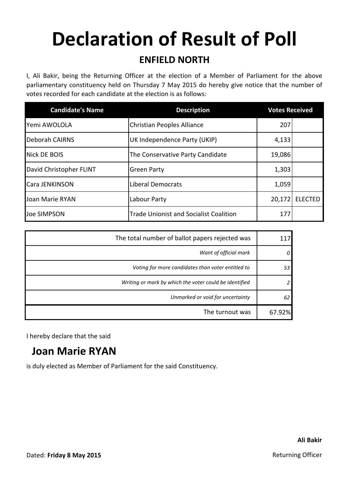# **Declaration of Result of Poll**

#### **ENFIELD NORTH**

I, Ali Bakir, being the Returning Officer at the election of a Member of Parliament for the above parliamentary constituency held on Thursday 7 May 2015 do hereby give notice that the number of votes recorded for each candidate at the election is as follows:

| <b>Candidate's Name</b> | <b>Description</b>                            | <b>Votes Received</b> |                |
|-------------------------|-----------------------------------------------|-----------------------|----------------|
| lYemi AWOLOLA           | Christian Peoples Alliance                    | 207                   |                |
| <b>Deborah CAIRNS</b>   | UK Independence Party (UKIP)                  | 4,133                 |                |
| Nick DE BOIS            | The Conservative Party Candidate              | 19,086                |                |
| David Christopher FLINT | <b>Green Party</b>                            | 1,303                 |                |
| Cara JENKINSON          | <b>Liberal Democrats</b>                      | 1,059                 |                |
| Joan Marie RYAN         | Labour Party                                  | 20,172                | <b>ELECTED</b> |
| Joe SIMPSON             | <b>Trade Unionist and Socialist Coalition</b> | 177                   |                |

| The total number of ballot papers rejected was         |        |
|--------------------------------------------------------|--------|
| Want of official mark                                  |        |
| Voting for more candidates than voter entitled to      | 53     |
| Writing or mark by which the voter could be identified |        |
| Unmarked or void for uncertainty                       | 62     |
| The turnout was                                        | 67.92% |

I hereby declare that the said

### **Joan Marie RYAN**

is duly elected as Member of Parliament for the said Constituency.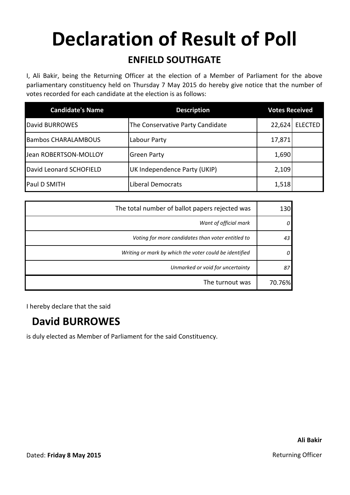# **Declaration of Result of Poll**

#### **ENFIELD SOUTHGATE**

I, Ali Bakir, being the Returning Officer at the election of a Member of Parliament for the above parliamentary constituency held on Thursday 7 May 2015 do hereby give notice that the number of votes recorded for each candidate at the election is as follows:

| <b>Candidate's Name</b>    | <b>Description</b>               | <b>Votes Received</b> |                |
|----------------------------|----------------------------------|-----------------------|----------------|
| David BURROWES             | The Conservative Party Candidate | 22,624                | <b>ELECTED</b> |
| <b>Bambos CHARALAMBOUS</b> | Labour Party                     | 17,871                |                |
| Jean ROBERTSON-MOLLOY      | <b>Green Party</b>               | 1,690                 |                |
| David Leonard SCHOFIELD    | UK Independence Party (UKIP)     | 2,109                 |                |
| Paul D SMITH               | <b>Liberal Democrats</b>         | 1,518                 |                |

| The total number of ballot papers rejected was         |        |
|--------------------------------------------------------|--------|
| Want of official mark                                  |        |
| Voting for more candidates than voter entitled to      | 43     |
| Writing or mark by which the voter could be identified |        |
| Unmarked or void for uncertainty                       | 87     |
| The turnout was                                        | 70.76% |

I hereby declare that the said

### **David BURROWES**

is duly elected as Member of Parliament for the said Constituency.